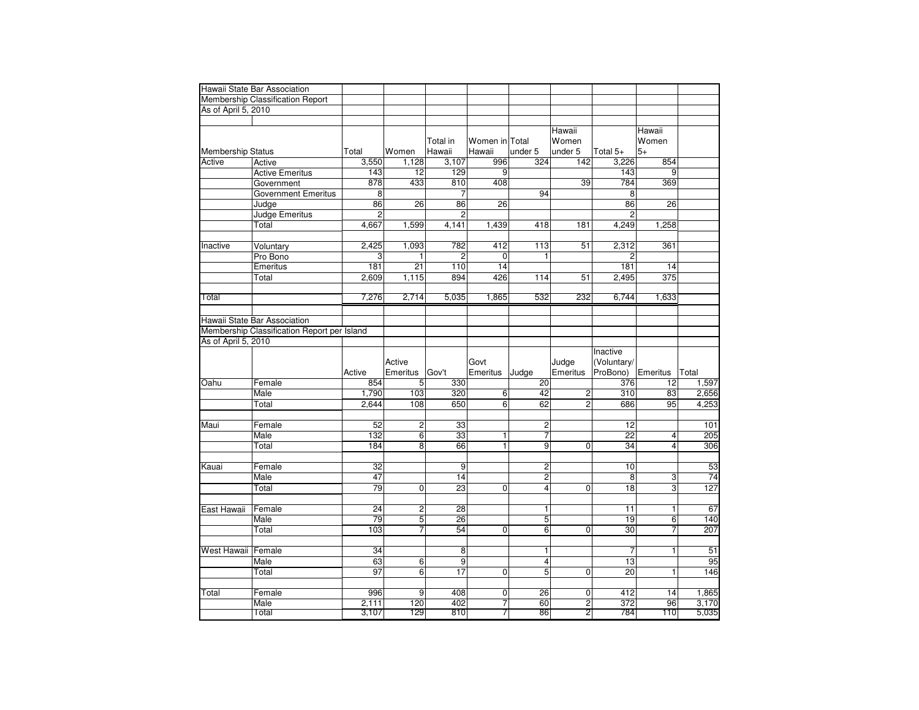|                          | Hawaii State Bar Association                |                 |                 |                 |                     |                         |                                |                         |                         |                |
|--------------------------|---------------------------------------------|-----------------|-----------------|-----------------|---------------------|-------------------------|--------------------------------|-------------------------|-------------------------|----------------|
|                          | Membership Classification Report            |                 |                 |                 |                     |                         |                                |                         |                         |                |
| As of April 5, 2010      |                                             |                 |                 |                 |                     |                         |                                |                         |                         |                |
|                          |                                             |                 |                 |                 |                     |                         |                                |                         |                         |                |
|                          |                                             |                 |                 |                 |                     |                         | Hawaii                         |                         | Hawaii                  |                |
|                          |                                             |                 |                 | Total in        | Women in Total      |                         | Women                          |                         | Women                   |                |
| <b>Membership Status</b> |                                             | Total           | Women           | Hawaii          | Hawaii              | under 5                 | under 5                        | Total 5+                | $5+$                    |                |
| Active                   | Active                                      | 3,550           | 1,128           | 3,107           | 996                 | 324                     | 142                            | 3,226                   | 854                     |                |
|                          | <b>Active Emeritus</b>                      | 143             | 12              | 129             | 9                   |                         |                                | 143                     | 9                       |                |
|                          | Government                                  | 878             | 433             | 810             | 408                 |                         | 39                             | 784                     | 369                     |                |
|                          | <b>Government Emeritus</b>                  | $\overline{8}$  |                 | $\overline{7}$  |                     | 94                      |                                | 8                       |                         |                |
|                          | Judge                                       | 86              | 26              | 86              | 26                  |                         |                                | 86                      | 26                      |                |
|                          | Judge Emeritus                              | $\overline{2}$  |                 | $\overline{2}$  |                     |                         |                                | $\overline{2}$          |                         |                |
|                          | Total                                       | 4,667           | 1,599           | 4,141           | 1,439               | 418                     | 181                            | 4,249                   | 1,258                   |                |
|                          |                                             |                 |                 |                 |                     |                         |                                |                         |                         |                |
| Inactive                 | Voluntary                                   | 2,425           | 1,093           | 782             | 412                 | 113                     | 51                             | 2,312                   | 361                     |                |
|                          | Pro Bono                                    | 3               | 1               | $\overline{2}$  | $\Omega$            | $\mathbf{1}$            |                                | 2                       |                         |                |
|                          | Emeritus                                    | 181             | $\overline{21}$ | 110             | 14                  |                         |                                | 181                     | 14                      |                |
|                          | Total                                       | 2,609           | 1,115           | 894             | 426                 | 114                     | 51                             | 2,495                   | $\overline{375}$        |                |
|                          |                                             |                 |                 |                 |                     |                         |                                |                         |                         |                |
| Total                    |                                             | 7,276           | 2,714           | 5,035           | 1,865               | 532                     | 232                            | 6,744                   | 1,633                   |                |
|                          |                                             |                 |                 |                 |                     |                         |                                |                         |                         |                |
|                          | Hawaii State Bar Association                |                 |                 |                 |                     |                         |                                |                         |                         |                |
|                          | Membership Classification Report per Island |                 |                 |                 |                     |                         |                                |                         |                         |                |
| As of April 5, 2010      |                                             |                 |                 |                 |                     |                         |                                | Inactive                |                         |                |
|                          |                                             |                 | Active          |                 | Govt                |                         | Judge                          | (Voluntary/             |                         |                |
|                          |                                             | Active          | Emeritus        | Gov't           | Emeritus            | Judge                   | Emeritus                       | ProBono)                | Emeritus                | Total          |
| Oahu                     | Female                                      | 854             | 5               | 330             |                     | $\overline{20}$         |                                | 376                     | 12                      | 1,597          |
|                          | Male                                        | 1,790           | 103             | 320             | 6                   | 42                      | $\overline{2}$                 | 310                     | 83                      | 2,656          |
|                          | Total                                       | 2,644           | 108             | 650             | 6                   | 62                      | $\overline{2}$                 | 686                     | 95                      | 4,253          |
|                          |                                             |                 |                 |                 |                     |                         |                                |                         |                         |                |
| Maui                     | Female                                      | 52              | $\overline{c}$  | 33              |                     | $\overline{2}$          |                                | 12                      |                         | 101            |
|                          | Male                                        | 132             | 6               | 33              | 1                   | 7                       |                                | $\overline{22}$         | $\overline{\mathbf{4}}$ | 205            |
|                          | Total                                       | 184             | 8               | 66              | $\overline{1}$      | $\overline{9}$          | 0                              | 34                      | $\overline{4}$          | 306            |
|                          |                                             |                 |                 |                 |                     |                         |                                |                         |                         |                |
| Kauai                    | Female                                      | 32              |                 | $\vert 9 \vert$ |                     | $\overline{\mathbf{c}}$ |                                | 10                      |                         | 53             |
|                          | Male                                        | 47              |                 | 14              |                     | $\overline{\mathbf{c}}$ |                                | 8                       | 3                       | 74             |
|                          | Total                                       | 79              | 0               | 23              | $\overline{0}$      | $\overline{4}$          | 0                              | $\overline{18}$         | ω                       | 127            |
|                          |                                             |                 |                 |                 |                     |                         |                                |                         |                         |                |
| East Hawaii              | Female                                      | 24              | $\overline{c}$  | 28              |                     | $\overline{1}$          |                                | 11                      | $\overline{1}$          | 67             |
|                          | Male                                        | $\overline{79}$ | 5               | 26              |                     | 5                       |                                | 19                      | 6                       | 140            |
|                          | Total                                       | 103             | 7               | 54              | $\mathbf 0$         | $6 \overline{6}$        | $\overline{0}$                 | 30                      | $\overline{7}$          | 207            |
|                          |                                             |                 |                 |                 |                     |                         |                                |                         |                         |                |
| West Hawaii   Female     |                                             | 34              |                 | 8               |                     | 1                       |                                | 7                       | $\mathbf{1}$            | 51             |
|                          | Male                                        | 63              | $6\overline{6}$ | $\overline{9}$  |                     | $\overline{4}$          |                                | $\overline{13}$         |                         | 95             |
|                          | Total                                       | 97              | $6\overline{6}$ | $\overline{17}$ | $\overline{0}$      | 5                       | 0                              | $\overline{20}$         | $\mathbf{1}$            | 146            |
|                          |                                             |                 |                 |                 |                     |                         |                                |                         |                         |                |
| Total                    |                                             |                 |                 |                 |                     |                         |                                | 412                     |                         | 1,865          |
|                          | Female                                      | 996             | 9               | 408             | $\overline{0}$      | 26                      | 0                              |                         | 14                      |                |
|                          | Male<br>Total                               | 2.111<br>3,107  | 120<br>129      | 402<br>810      | $\overline{7}$<br>7 | 60<br>86                | $\mathbf{2}$<br>$\overline{2}$ | $\overline{372}$<br>784 | 96<br>110               | 3,170<br>5,035 |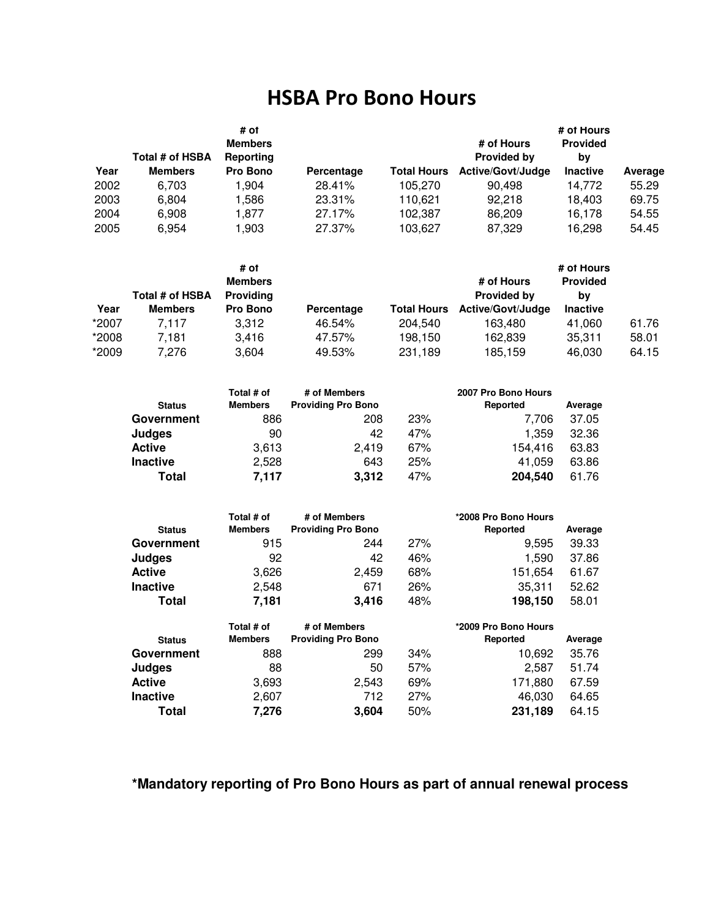## HSBA Pro Bono Hours

| Year | Total # of HSBA<br><b>Members</b> | # of<br><b>Members</b><br>Reporting<br>Pro Bono | Percentage | <b>Total Hours</b> | # of Hours<br><b>Provided by</b><br><b>Active/Govt/Judge</b> | # of Hours<br><b>Provided</b><br>bv<br><b>Inactive</b> | Average |
|------|-----------------------------------|-------------------------------------------------|------------|--------------------|--------------------------------------------------------------|--------------------------------------------------------|---------|
| 2002 | 6.703                             | 1.904                                           | 28.41%     | 105.270            | 90.498                                                       | 14,772                                                 | 55.29   |
| 2003 | 6.804                             | 1,586                                           | 23.31%     | 110.621            | 92.218                                                       | 18.403                                                 | 69.75   |
| 2004 | 6,908                             | 1.877                                           | 27.17%     | 102,387            | 86,209                                                       | 16,178                                                 | 54.55   |
| 2005 | 6.954                             | 1,903                                           | 27.37%     | 103.627            | 87,329                                                       | 16,298                                                 | 54.45   |

|       |                 | # of<br><b>Members</b> |            |                    | # of Hours               | # of Hours<br><b>Provided</b> |       |
|-------|-----------------|------------------------|------------|--------------------|--------------------------|-------------------------------|-------|
|       | Total # of HSBA | <b>Providing</b>       |            |                    | <b>Provided by</b>       | by                            |       |
| Year  | <b>Members</b>  | Pro Bono               | Percentage | <b>Total Hours</b> | <b>Active/Govt/Judge</b> | <b>Inactive</b>               |       |
| *2007 | 7.117           | 3.312                  | 46.54%     | 204.540            | 163.480                  | 41.060                        | 61.76 |
| *2008 | 7.181           | 3.416                  | 47.57%     | 198.150            | 162,839                  | 35,311                        | 58.01 |
| *2009 | 7.276           | 3,604                  | 49.53%     | 231,189            | 185,159                  | 46,030                        | 64.15 |

| <b>Status</b>   | Total # of<br><b>Members</b> | # of Members<br><b>Providing Pro Bono</b> |     | 2007 Pro Bono Hours<br>Reported | Average |
|-----------------|------------------------------|-------------------------------------------|-----|---------------------------------|---------|
| Government      | 886                          | 208                                       | 23% | 7.706                           | 37.05   |
| Judges          | 90                           | 42                                        | 47% | 1.359                           | 32.36   |
| <b>Active</b>   | 3,613                        | 2.419                                     | 67% | 154,416                         | 63.83   |
| <b>Inactive</b> | 2,528                        | 643                                       | 25% | 41.059                          | 63.86   |
| <b>Total</b>    | 7.117                        | 3,312                                     | 47% | 204,540                         | 61.76   |

| <b>Status</b>   | Total # of<br><b>Members</b> | # of Members<br><b>Providing Pro Bono</b> |     | *2008 Pro Bono Hours<br>Reported | Average |
|-----------------|------------------------------|-------------------------------------------|-----|----------------------------------|---------|
| Government      | 915                          | 244                                       | 27% | 9,595                            | 39.33   |
| Judges          | 92                           | 42                                        | 46% | 1,590                            | 37.86   |
| <b>Active</b>   | 3,626                        | 2,459                                     | 68% | 151,654                          | 61.67   |
| <b>Inactive</b> | 2,548                        | 671                                       | 26% | 35,311                           | 52.62   |
| Total           | 7,181                        | 3,416                                     | 48% | 198,150                          | 58.01   |
|                 | Total # of                   | # of Members                              |     | *2009 Pro Bono Hours             |         |
| <b>Status</b>   | <b>Members</b>               | <b>Providing Pro Bono</b>                 |     | Reported                         | Average |
| Government      | 888                          | 299                                       | 34% | 10,692                           | 35.76   |
| Judges          | 88                           | 50                                        | 57% | 2,587                            | 51.74   |
| <b>Active</b>   | 3,693                        | 2,543                                     | 69% | 171,880                          | 67.59   |
| Inactive        | 2,607                        | 712                                       | 27% | 46,030                           | 64.65   |
| <b>Total</b>    |                              |                                           |     |                                  |         |

#### **\*Mandatory reporting of Pro Bono Hours as part of annual renewal process**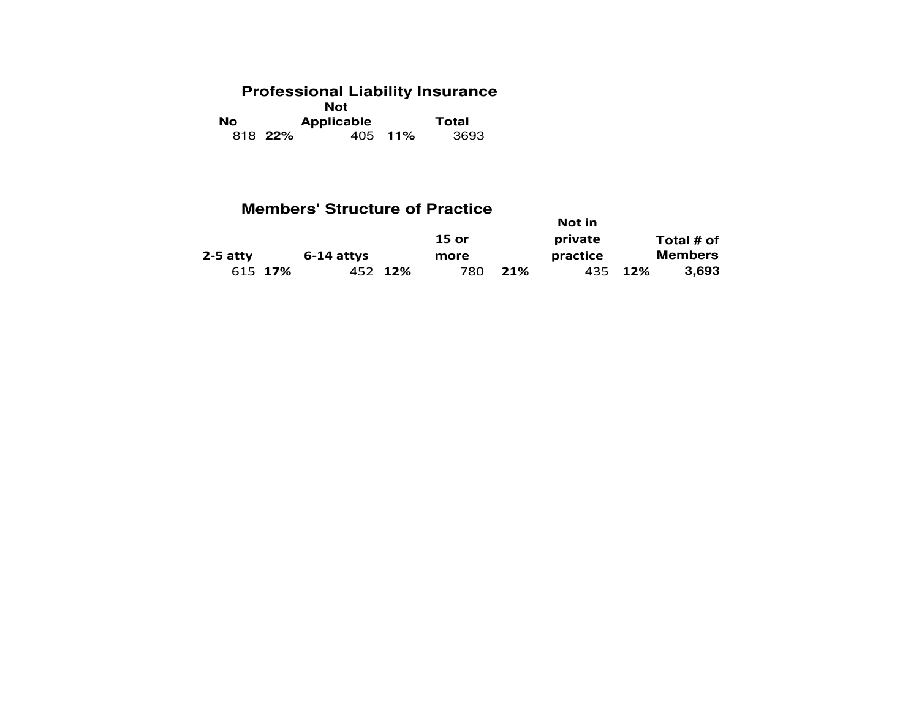# **Professional Liability Insurance Not**

| No. |         | Applicable | Total   |      |  |
|-----|---------|------------|---------|------|--|
|     | 818 22% |            | 405 11% | 3693 |  |

### **Members' Structure of Practice**

|            |         |              |         |              |     | Not in   |         |                |
|------------|---------|--------------|---------|--------------|-----|----------|---------|----------------|
|            |         |              |         | <b>15 or</b> |     | private  |         | Total # of     |
| $2-5$ atty |         | $6-14$ attys |         | more         |     | practice |         | <b>Members</b> |
|            | 615 17% |              | 452 12% | 780          | 21% |          | 435 12% | 3.693          |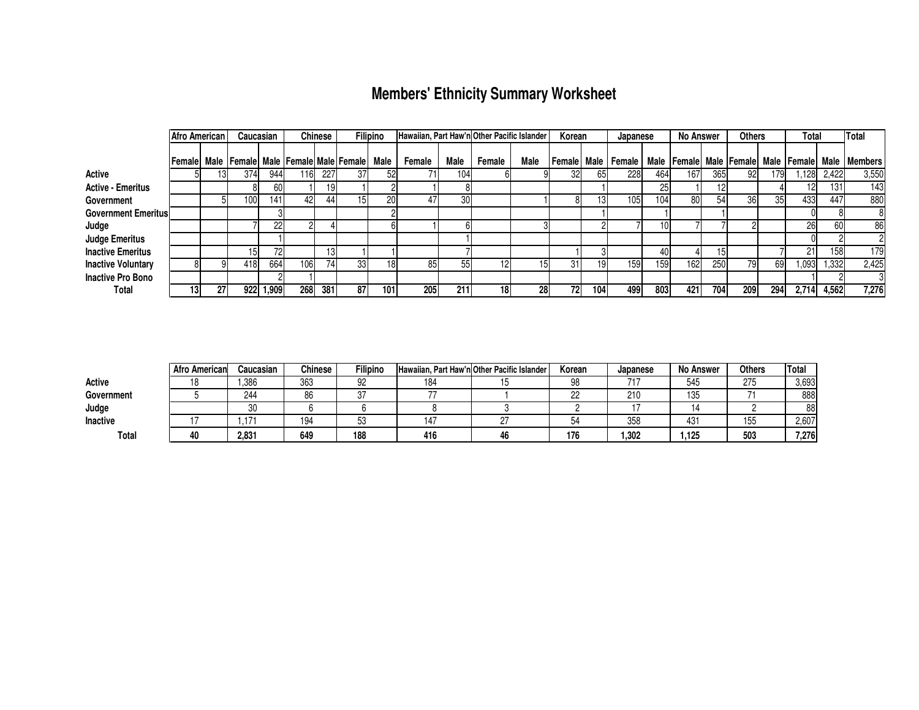## **Members' Ethnicity Summary Worksheet**

|                            | Afro American |            | Caucasian |       |     | <b>Chinese</b> |                                               | <b>Filipino</b> | Hawaiian, Part Haw'n Other Pacific Islander |                 |        |           | Korean |     | Japanese              |     | <b>No Answer</b> |     | <b>Others</b> |     | Total |       | Total                                                       |
|----------------------------|---------------|------------|-----------|-------|-----|----------------|-----------------------------------------------|-----------------|---------------------------------------------|-----------------|--------|-----------|--------|-----|-----------------------|-----|------------------|-----|---------------|-----|-------|-------|-------------------------------------------------------------|
|                            | l Female I    |            |           |       |     |                | Male   Female   Male   Female   Male   Female | Male            | Female                                      | Male            | Female | Male      |        |     | Female  Male   Female |     |                  |     |               |     |       |       | Male   Female  Male   Female  Male   Female  Male   Members |
| Active                     |               |            | 374       | 944   | 116 | 227            | 37                                            | 52              |                                             | 104             |        |           |        | 651 | 228                   | 464 | 167              | 365 | 92            | 179 | ,128  | 2,422 | 3,550                                                       |
| <b>Active - Emeritus</b>   |               |            |           | 60    |     | 19             |                                               |                 |                                             |                 |        |           |        |     |                       | 25  |                  |     |               |     |       | 131   | 143                                                         |
| Government                 |               |            | 100       | 141   | 42  | 441            | 151                                           | 20              | 47                                          | 30 <sup>l</sup> |        |           |        | 13  | 105                   | 104 | 80               | 54  | 36            | 35  | 433   | 447   | 880                                                         |
| <b>Government Emeritus</b> |               |            |           |       |     |                |                                               |                 |                                             |                 |        |           |        |     |                       |     |                  |     |               |     |       |       |                                                             |
| Judge                      |               |            |           | 221   |     |                |                                               |                 |                                             |                 |        |           |        |     |                       | 10  |                  |     |               |     | 26    | 60    | 86                                                          |
| <b>Judge Emeritus</b>      |               |            |           |       |     |                |                                               |                 |                                             |                 |        |           |        |     |                       |     |                  |     |               |     |       |       |                                                             |
| <b>Inactive Emeritus</b>   |               |            |           | 721   |     | IЗ             |                                               |                 |                                             |                 |        |           |        |     |                       | 40  |                  |     |               |     | 21    | 158   | 179                                                         |
| <b>Inactive Voluntary</b>  |               |            | 418       | 664   | 106 | 741            | 33                                            | 181             | 85                                          | 55              |        |           | 31     | 19  | 159                   | 159 | 162              | 250 | 79            | 69  | 1,093 | 1,332 | 2,425                                                       |
| <b>Inactive Pro Bono</b>   |               |            |           |       |     |                |                                               |                 |                                             |                 |        |           |        |     |                       |     |                  |     |               |     |       |       |                                                             |
| Total                      | 13            | <b>271</b> | 922       | 1,909 | 268 | 381            | 87                                            | 101             | <b>205</b>                                  | 211             | 18     | <b>28</b> | 72     | 104 | 499                   | 803 | 421              | 704 | <b>2091</b>   | 294 | 2,714 | 4,562 | 7,276                                                       |

|                 | <b>Afro American</b> | Caucasian                | <b>Chinese</b> | <b>Filipino</b> |     | Hawaiian. Part Haw'n Other Pacific Islander | Korean   | Japanese | <b>No Answer</b> | <b>Others</b> | <b>Total</b> |
|-----------------|----------------------|--------------------------|----------------|-----------------|-----|---------------------------------------------|----------|----------|------------------|---------------|--------------|
| Active          |                      | .386                     | 363            | 92              | 184 |                                             | 98       | 74 7     | 545              | 275           | 3,693        |
| Government      |                      | 244                      | 86             | n7<br>، ب       |     |                                             | nn<br>22 | 210      | 135              |               | 888          |
| Judge           |                      | 30                       |                |                 |     |                                             |          |          |                  |               | 88           |
| <b>Inactive</b> |                      | $\overline{\phantom{a}}$ | 194            | ◡               | 147 |                                             |          | 358      | 431              | 155           | 2,607        |
| Total           |                      | 2.831                    | 649            | 188             | 416 |                                             | 176      | 1.302    | .125             | 503           | 7,276        |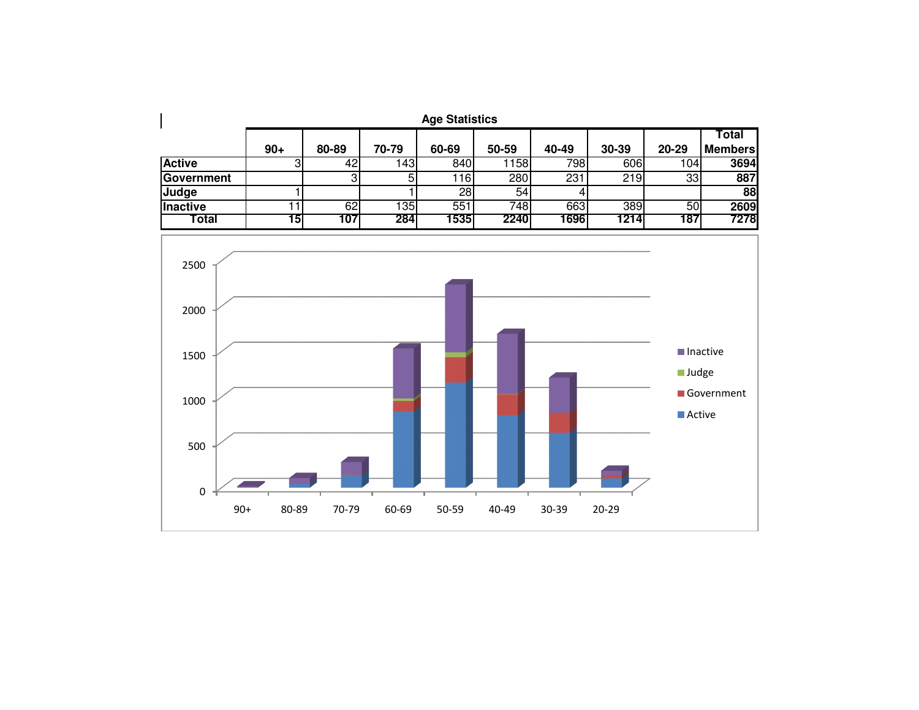